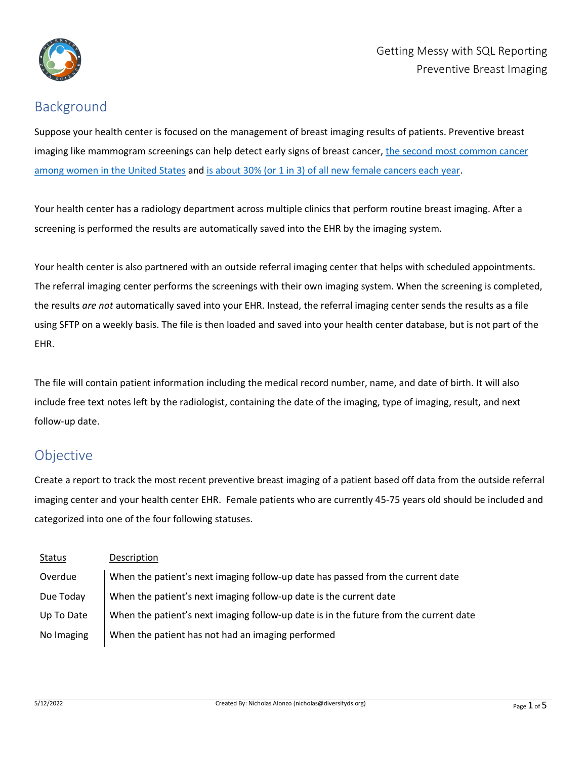

# Background

Suppose your health center is focused on the management of breast imaging results of patients. Preventive breast imaging like mammogram screenings can help detect early signs of breast cancer, the second most common cancer [among women in the United States](https://www.cdc.gov/cancer/breast/statistics/index.htm) and [is about 30% \(or 1 in 3\) of all new female cancers each year.](https://www.cancer.org/cancer/breast-cancer/about/how-common-is-breast-cancer.html)

Your health center has a radiology department across multiple clinics that perform routine breast imaging. After a screening is performed the results are automatically saved into the EHR by the imaging system.

Your health center is also partnered with an outside referral imaging center that helps with scheduled appointments. The referral imaging center performs the screenings with their own imaging system. When the screening is completed, the results *are not* automatically saved into your EHR. Instead, the referral imaging center sends the results as a file using SFTP on a weekly basis. The file is then loaded and saved into your health center database, but is not part of the EHR.

The file will contain patient information including the medical record number, name, and date of birth. It will also include free text notes left by the radiologist, containing the date of the imaging, type of imaging, result, and next follow-up date.

# Objective

Create a report to track the most recent preventive breast imaging of a patient based off data from the outside referral imaging center and your health center EHR. Female patients who are currently 45-75 years old should be included and categorized into one of the four following statuses.

| <b>Status</b> | Description                                                                           |
|---------------|---------------------------------------------------------------------------------------|
| Overdue       | When the patient's next imaging follow-up date has passed from the current date       |
| Due Today     | When the patient's next imaging follow-up date is the current date                    |
| Up To Date    | When the patient's next imaging follow-up date is in the future from the current date |
| No Imaging    | When the patient has not had an imaging performed                                     |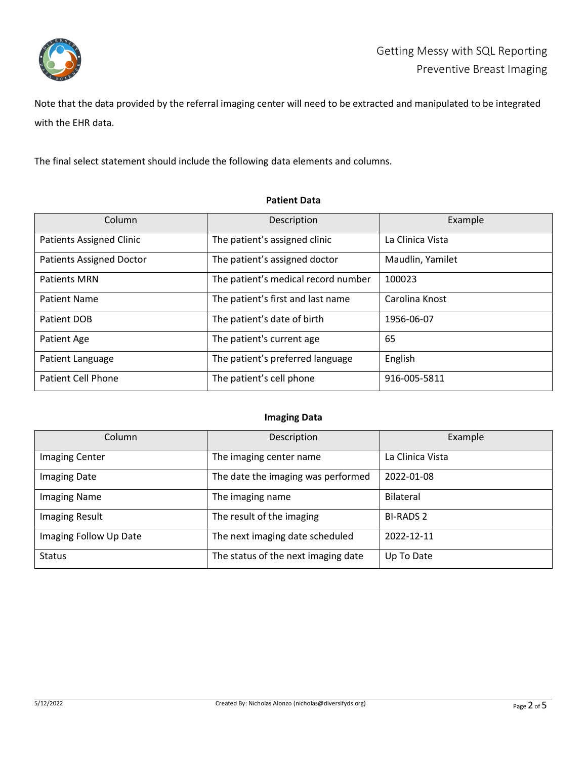

Note that the data provided by the referral imaging center will need to be extracted and manipulated to be integrated with the EHR data.

The final select statement should include the following data elements and columns.

### **Patient Data**

| Column                          | Description                         | Example          |
|---------------------------------|-------------------------------------|------------------|
| <b>Patients Assigned Clinic</b> | The patient's assigned clinic       | La Clinica Vista |
| <b>Patients Assigned Doctor</b> | The patient's assigned doctor       | Maudlin, Yamilet |
| <b>Patients MRN</b>             | The patient's medical record number | 100023           |
| <b>Patient Name</b>             | The patient's first and last name   | Carolina Knost   |
| Patient DOB                     | The patient's date of birth         | 1956-06-07       |
| Patient Age                     | The patient's current age           | 65               |
| Patient Language                | The patient's preferred language    | English          |
| <b>Patient Cell Phone</b>       | The patient's cell phone            | 916-005-5811     |

#### **Imaging Data**

| Column                 | Description                         | Example          |
|------------------------|-------------------------------------|------------------|
| <b>Imaging Center</b>  | The imaging center name             | La Clinica Vista |
| <b>Imaging Date</b>    | The date the imaging was performed  | 2022-01-08       |
| <b>Imaging Name</b>    | The imaging name                    | <b>Bilateral</b> |
| <b>Imaging Result</b>  | The result of the imaging           | <b>BI-RADS 2</b> |
| Imaging Follow Up Date | The next imaging date scheduled     | 2022-12-11       |
| <b>Status</b>          | The status of the next imaging date | Up To Date       |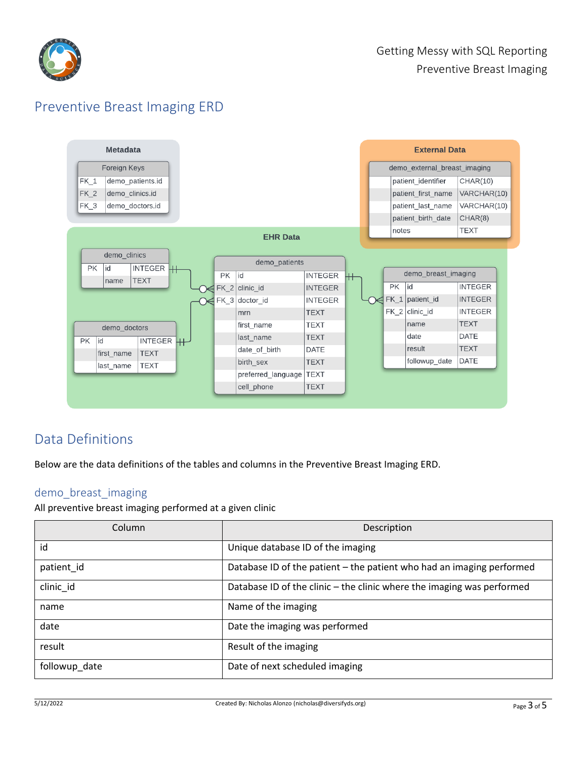

# Preventive Breast Imaging ERD



# Data Definitions

Below are the data definitions of the tables and columns in the Preventive Breast Imaging ERD.

### demo\_breast\_imaging

All preventive breast imaging performed at a given clinic

| Column        | Description                                                            |
|---------------|------------------------------------------------------------------------|
| id            | Unique database ID of the imaging                                      |
| patient_id    | Database ID of the patient - the patient who had an imaging performed  |
| clinic id     | Database ID of the clinic – the clinic where the imaging was performed |
| name          | Name of the imaging                                                    |
| date          | Date the imaging was performed                                         |
| result        | Result of the imaging                                                  |
| followup_date | Date of next scheduled imaging                                         |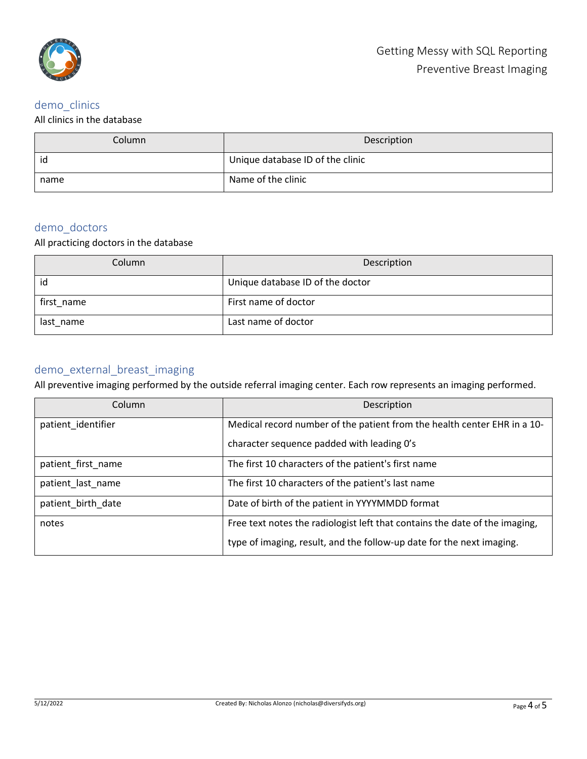

# demo\_clinics

#### All clinics in the database

| Column | Description                      |
|--------|----------------------------------|
| id     | Unique database ID of the clinic |
| name   | Name of the clinic               |

## demo\_doctors

### All practicing doctors in the database

| Column     | Description                      |
|------------|----------------------------------|
| id         | Unique database ID of the doctor |
| first_name | First name of doctor             |
| last name  | Last name of doctor              |

### demo\_external\_breast\_imaging

All preventive imaging performed by the outside referral imaging center. Each row represents an imaging performed.

| Column             | Description                                                                 |
|--------------------|-----------------------------------------------------------------------------|
| patient_identifier | Medical record number of the patient from the health center EHR in a 10-    |
|                    | character sequence padded with leading O's                                  |
| patient first name | The first 10 characters of the patient's first name                         |
| patient_last_name  | The first 10 characters of the patient's last name                          |
| patient_birth_date | Date of birth of the patient in YYYYMMDD format                             |
| notes              | Free text notes the radiologist left that contains the date of the imaging, |
|                    | type of imaging, result, and the follow-up date for the next imaging.       |